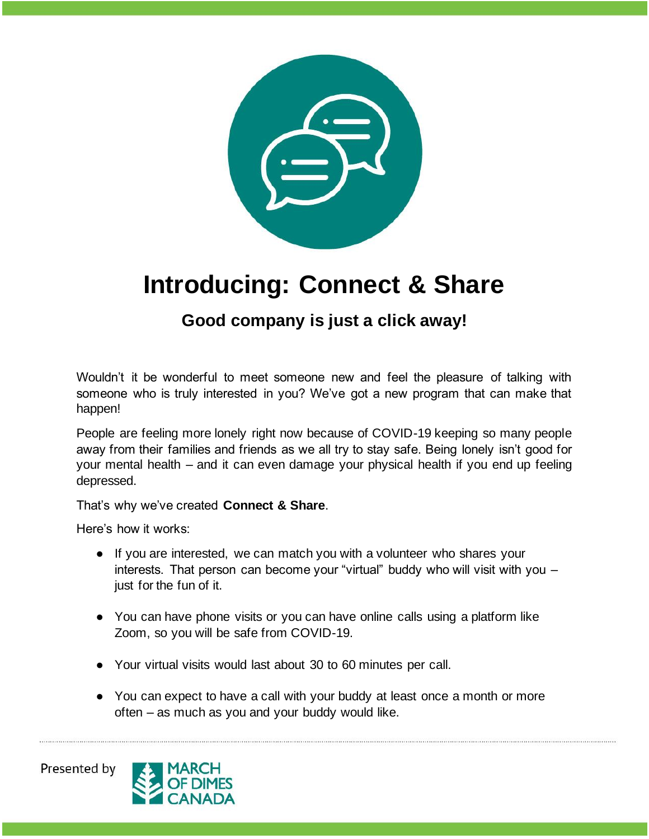

## **Introducing: Connect & Share**

## **Good company is just a click away!**

Wouldn't it be wonderful to meet someone new and feel the pleasure of talking with someone who is truly interested in you? We've got a new program that can make that happen!

People are feeling more lonely right now because of COVID-19 keeping so many people away from their families and friends as we all try to stay safe. Being lonely isn't good for your mental health – and it can even damage your physical health if you end up feeling depressed.

That's why we've created **Connect & Share**.

Here's how it works:

- If you are interested, we can match you with a volunteer who shares your interests. That person can become your "virtual" buddy who will visit with you – just for the fun of it.
- You can have phone visits or you can have online calls using a platform like Zoom, so you will be safe from COVID-19.
- Your virtual visits would last about 30 to 60 minutes per call.
- You can expect to have a call with your buddy at least once a month or more often – as much as you and your buddy would like.